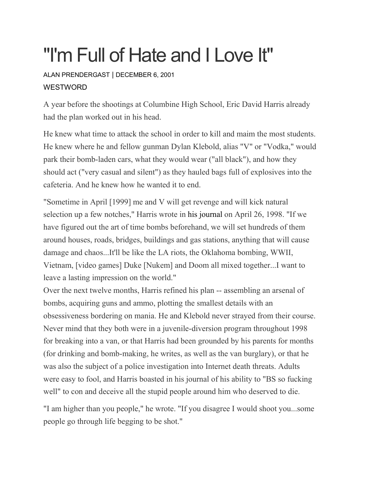## "I'm Full of Hate and I Love It"

ALAN [PRENDERGAST](https://www.westword.com/authors/alan-prendergast-5052731) | DECEMBER 6, 2001 **WESTWORD** 

A year before the shootings at Columbine High School, Eric David Harris already had the plan worked out in his head.

He knew what time to attack the school in order to kill and maim the most students. He knew where he and fellow gunman Dylan Klebold, alias "V" or "Vodka," would park their bomb-laden cars, what they would wear ("all black"), and how they should act ("very casual and silent") as they hauled bags full of explosives into the cafeteria. And he knew how he wanted it to end.

"Sometime in April [1999] me and V will get revenge and will kick natural selection up a few notches," Harris wrote in his [journal](http://www.westword.com/microsites/columbine) on April 26, 1998. "If we have figured out the art of time bombs beforehand, we will set hundreds of them around houses, roads, bridges, buildings and gas stations, anything that will cause damage and chaos...It'll be like the LA riots, the Oklahoma bombing, WWII, Vietnam, [video games] Duke [Nukem] and Doom all mixed together...I want to leave a lasting impression on the world."

Over the next twelve months, Harris refined his plan -- assembling an arsenal of bombs, acquiring guns and ammo, plotting the smallest details with an obsessiveness bordering on mania. He and Klebold never strayed from their course. Never mind that they both were in a juvenile-diversion program throughout 1998 for breaking into a van, or that Harris had been grounded by his parents for months (for drinking and bomb-making, he writes, as well as the van burglary), or that he was also the subject of a police investigation into Internet death threats. Adults were easy to fool, and Harris boasted in his journal of his ability to "BS so fucking well" to con and deceive all the stupid people around him who deserved to die.

"I am higher than you people," he wrote. "If you disagree I would shoot you...some people go through life begging to be shot."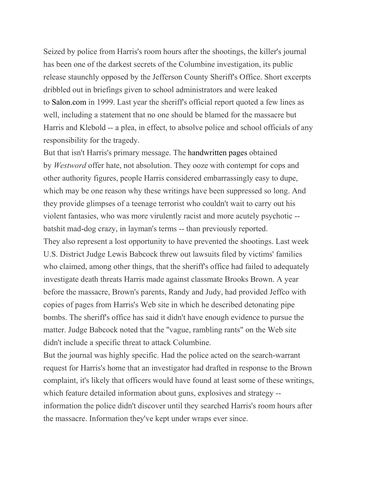Seized by police from Harris's room hours after the shootings, the killer's journal has been one of the darkest secrets of the Columbine investigation, its public release staunchly opposed by the Jefferson County Sheriff's Office. Short excerpts dribbled out in briefings given to school administrators and were leaked to [Salon.com](http://salon.com/) in 1999. Last year the sheriff's official report quoted a few lines as well, including a statement that no one should be blamed for the massacre but Harris and Klebold -- a plea, in effect, to absolve police and school officials of any responsibility for the tragedy.

But that isn't Harris's primary message. The [handwritten](https://www.westword.com/webextra/columbine/files/index.html) pages obtained by *Westword* offer hate, not absolution. They ooze with contempt for cops and other authority figures, people Harris considered embarrassingly easy to dupe, which may be one reason why these writings have been suppressed so long. And they provide glimpses of a teenage terrorist who couldn't wait to carry out his violent fantasies, who was more virulently racist and more acutely psychotic - batshit mad-dog crazy, in layman's terms -- than previously reported. They also represent a lost opportunity to have prevented the shootings. Last week U.S. District Judge Lewis Babcock threw out lawsuits filed by victims' families who claimed, among other things, that the sheriff's office had failed to adequately investigate death threats Harris made against classmate Brooks Brown. A year before the massacre, Brown's parents, Randy and Judy, had provided Jeffco with copies of pages from Harris's Web site in which he described detonating pipe bombs. The sheriff's office has said it didn't have enough evidence to pursue the matter. Judge Babcock noted that the "vague, rambling rants" on the Web site didn't include a specific threat to attack Columbine.

But the journal was highly specific. Had the police acted on the search-warrant request for Harris's home that an investigator had drafted in response to the Brown complaint, it's likely that officers would have found at least some of these writings, which feature detailed information about guns, explosives and strategy - information the police didn't discover until they searched Harris's room hours after the massacre. Information they've kept under wraps ever since.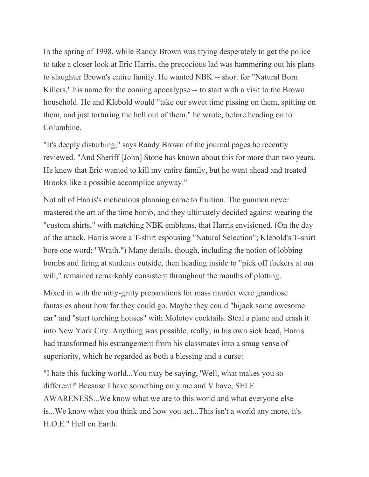In the spring of 1998, while Randy Brown was trying desperately to get the police to take a closer look at Eric Harris, the precocious lad was hammering out his plans to slaughter Brown's entire family. He wanted NBK -- short for "Natural Born Killers," his name for the coming apocalypse -- to start with a visit to the Brown household. He and Klebold would "take our sweet time pissing on them, spitting on them, and just torturing the hell out of them," he wrote, before heading on to Columbine.

"It's deeply disturbing," says Randy Brown of the journal pages he recently reviewed. "And Sheriff [John] Stone has known about this for more than two years. He knew that Eric wanted to kill my entire family, but he went ahead and treated Brooks like a possible accomplice anyway."

Not all of Harris's meticulous planning came to fruition. The gunmen never mastered the art of the time bomb, and they ultimately decided against wearing the "custom shirts," with matching NBK emblems, that Harris envisioned. (On the day of the attack, Harris wore a T-shirt espousing "Natural Selection"; Klebold's T-shirt bore one word: "Wrath.") Many details, though, including the notion of lobbing bombs and firing at students outside, then heading inside to "pick off fuckers at our will," remained remarkably consistent throughout the months of plotting.

Mixed in with the nitty-gritty preparations for mass murder were grandiose fantasies about how far they could go. Maybe they could "hijack some awesome car" and "start torching houses" with Molotov cocktails. Steal a plane and crash it into New York City. Anything was possible, really; in his own sick head, Harris had transformed his estrangement from his classmates into a smug sense of superiority, which he regarded as both a blessing and a curse:

"I hate this fucking world...You may be saying, 'Well, what makes you so different?' Because I have something only me and V have, SELF AWARENESS...We know what we are to this world and what everyone else is...We know what you think and how you act...This isn't a world any more, it's H.O.E." Hell on Earth.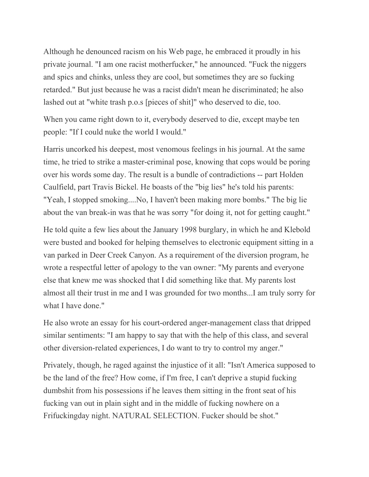Although he denounced racism on his Web page, he embraced it proudly in his private journal. "I am one racist motherfucker," he announced. "Fuck the niggers and spics and chinks, unless they are cool, but sometimes they are so fucking retarded." But just because he was a racist didn't mean he discriminated; he also lashed out at "white trash p.o.s [pieces of shit]" who deserved to die, too.

When you came right down to it, everybody deserved to die, except maybe ten people: "If I could nuke the world I would."

Harris uncorked his deepest, most venomous feelings in his journal. At the same time, he tried to strike a master-criminal pose, knowing that cops would be poring over his words some day. The result is a bundle of contradictions -- part Holden Caulfield, part Travis Bickel. He boasts of the "big lies" he's told his parents: "Yeah, I stopped smoking....No, I haven't been making more bombs." The big lie about the van break-in was that he was sorry "for doing it, not for getting caught."

He told quite a few lies about the January 1998 burglary, in which he and Klebold were busted and booked for helping themselves to electronic equipment sitting in a van parked in Deer Creek Canyon. As a requirement of the diversion program, he wrote a respectful letter of apology to the van owner: "My parents and everyone else that knew me was shocked that I did something like that. My parents lost almost all their trust in me and I was grounded for two months...I am truly sorry for what I have done."

He also wrote an essay for his court-ordered anger-management class that dripped similar sentiments: "I am happy to say that with the help of this class, and several other diversion-related experiences, I do want to try to control my anger."

Privately, though, he raged against the injustice of it all: "Isn't America supposed to be the land of the free? How come, if I'm free, I can't deprive a stupid fucking dumbshit from his possessions if he leaves them sitting in the front seat of his fucking van out in plain sight and in the middle of fucking nowhere on a Frifuckingday night. NATURAL SELECTION. Fucker should be shot."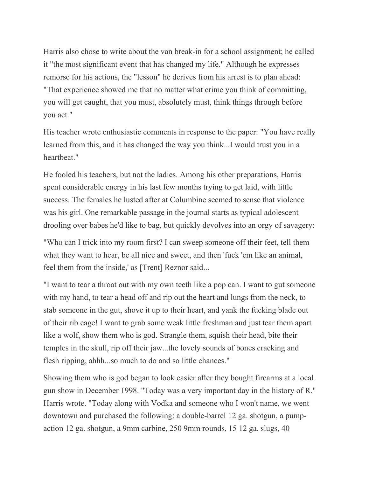Harris also chose to write about the van break-in for a school assignment; he called it "the most significant event that has changed my life." Although he expresses remorse for his actions, the "lesson" he derives from his arrest is to plan ahead: "That experience showed me that no matter what crime you think of committing, you will get caught, that you must, absolutely must, think things through before you act."

His teacher wrote enthusiastic comments in response to the paper: "You have really learned from this, and it has changed the way you think...I would trust you in a heartbeat."

He fooled his teachers, but not the ladies. Among his other preparations, Harris spent considerable energy in his last few months trying to get laid, with little success. The females he lusted after at Columbine seemed to sense that violence was his girl. One remarkable passage in the journal starts as typical adolescent drooling over babes he'd like to bag, but quickly devolves into an orgy of savagery:

"Who can I trick into my room first? I can sweep someone off their feet, tell them what they want to hear, be all nice and sweet, and then 'fuck 'em like an animal, feel them from the inside,' as [Trent] Reznor said...

"I want to tear a throat out with my own teeth like a pop can. I want to gut someone with my hand, to tear a head off and rip out the heart and lungs from the neck, to stab someone in the gut, shove it up to their heart, and yank the fucking blade out of their rib cage! I want to grab some weak little freshman and just tear them apart like a wolf, show them who is god. Strangle them, squish their head, bite their temples in the skull, rip off their jaw...the lovely sounds of bones cracking and flesh ripping, ahhh...so much to do and so little chances."

Showing them who is god began to look easier after they bought firearms at a local gun show in December 1998. "Today was a very important day in the history of R," Harris wrote. "Today along with Vodka and someone who I won't name, we went downtown and purchased the following: a double-barrel 12 ga. shotgun, a pumpaction 12 ga. shotgun, a 9mm carbine, 250 9mm rounds, 15 12 ga. slugs, 40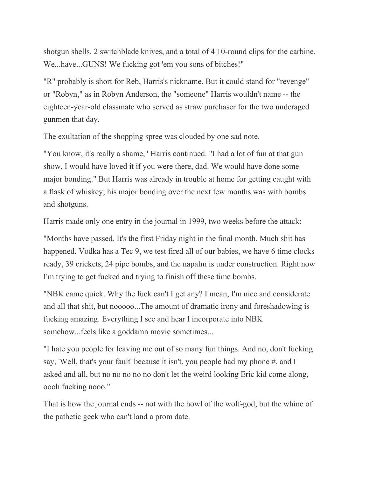shotgun shells, 2 switchblade knives, and a total of 4 10-round clips for the carbine. We...have...GUNS! We fucking got 'em you sons of bitches!"

"R" probably is short for Reb, Harris's nickname. But it could stand for "revenge" or "Robyn," as in Robyn Anderson, the "someone" Harris wouldn't name -- the eighteen-year-old classmate who served as straw purchaser for the two underaged gunmen that day.

The exultation of the shopping spree was clouded by one sad note.

"You know, it's really a shame," Harris continued. "I had a lot of fun at that gun show, I would have loved it if you were there, dad. We would have done some major bonding." But Harris was already in trouble at home for getting caught with a flask of whiskey; his major bonding over the next few months was with bombs and shotguns.

Harris made only one entry in the journal in 1999, two weeks before the attack:

"Months have passed. It's the first Friday night in the final month. Much shit has happened. Vodka has a Tec 9, we test fired all of our babies, we have 6 time clocks ready, 39 crickets, 24 pipe bombs, and the napalm is under construction. Right now I'm trying to get fucked and trying to finish off these time bombs.

"NBK came quick. Why the fuck can't I get any? I mean, I'm nice and considerate and all that shit, but nooooo...The amount of dramatic irony and foreshadowing is fucking amazing. Everything I see and hear I incorporate into NBK somehow...feels like a goddamn movie sometimes...

"I hate you people for leaving me out of so many fun things. And no, don't fucking say, 'Well, that's your fault' because it isn't, you people had my phone #, and I asked and all, but no no no no no don't let the weird looking Eric kid come along, oooh fucking nooo."

That is how the journal ends -- not with the howl of the wolf-god, but the whine of the pathetic geek who can't land a prom date.